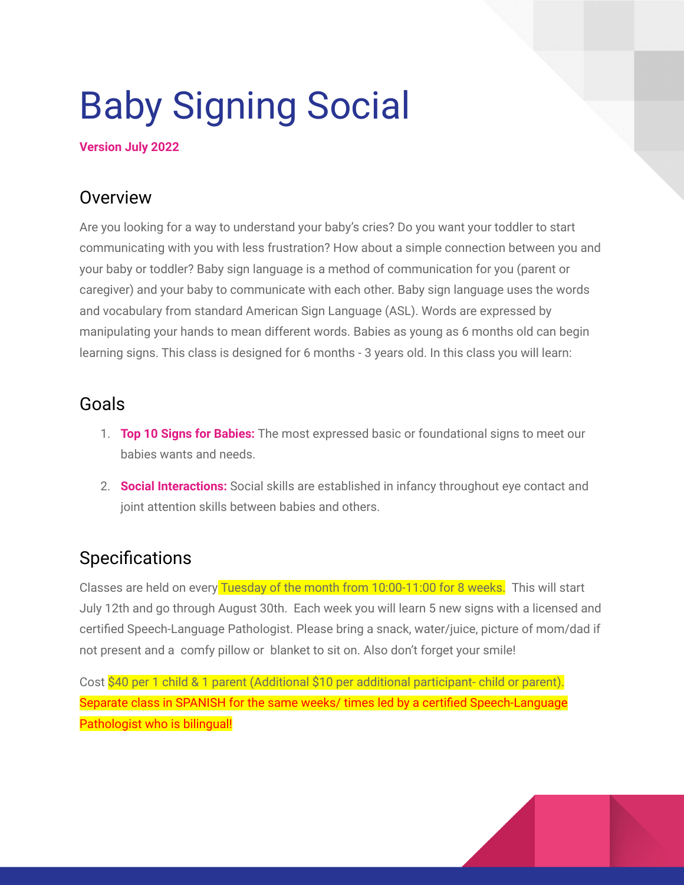# Baby Signing Social

#### **Version July 2022**

## Overview

Are you looking for a way to understand your baby's cries? Do you want your toddler to start communicating with you with less frustration? How about a simple connection between you and your baby or toddler? Baby sign language is a method of communication for you (parent or caregiver) and your baby to communicate with each other. Baby sign language uses the words and vocabulary from standard American Sign Language (ASL). Words are expressed by manipulating your hands to mean different words. Babies as young as 6 months old can begin learning signs. This class is designed for 6 months - 3 years old. In this class you will learn:

## Goals

- 1. **Top 10 Signs for Babies:** The most expressed basic or foundational signs to meet our babies wants and needs.
- 2. **Social Interactions:** Social skills are established in infancy throughout eye contact and joint attention skills between babies and others.

## **Specifications**

Classes are held on every Tuesday of the month from 10:00-11:00 for 8 weeks. This will start July 12th and go through August 30th. Each week you will learn 5 new signs with a licensed and certified Speech-Language Pathologist. Please bring a snack, water/juice, picture of mom/dad if not present and a comfy pillow or blanket to sit on. Also don't forget your smile!

Cost \$40 per 1 child & 1 parent (Additional \$10 per additional participant- child or parent). Separate class in SPANISH for the same weeks/ times led by a certified Speech-Language Pathologist who is bilingual!